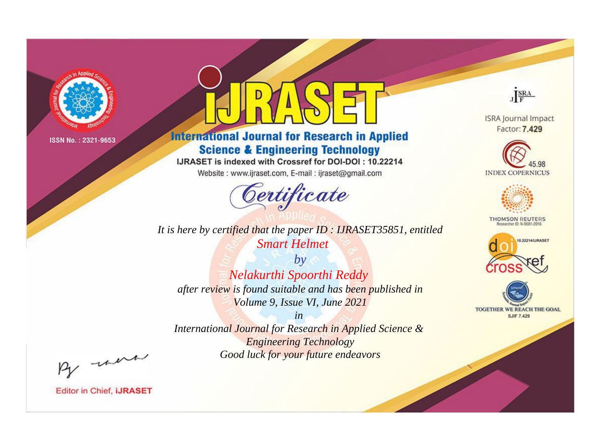

# **International Journal for Research in Applied Science & Engineering Technology**

IJRASET is indexed with Crossref for DOI-DOI: 10.22214

Website: www.ijraset.com, E-mail: ijraset@gmail.com



JERA

**ISRA Journal Impact** Factor: 7.429





**THOMSON REUTERS** 



TOGETHER WE REACH THE GOAL **SJIF 7.429** 

It is here by certified that the paper ID: IJRASET35851, entitled **Smart Helmet** 

 $by$ Nelakurthi Spoorthi Reddy after review is found suitable and has been published in Volume 9, Issue VI, June 2021

 $in$ International Journal for Research in Applied Science & **Engineering Technology** Good luck for your future endeavors

By morn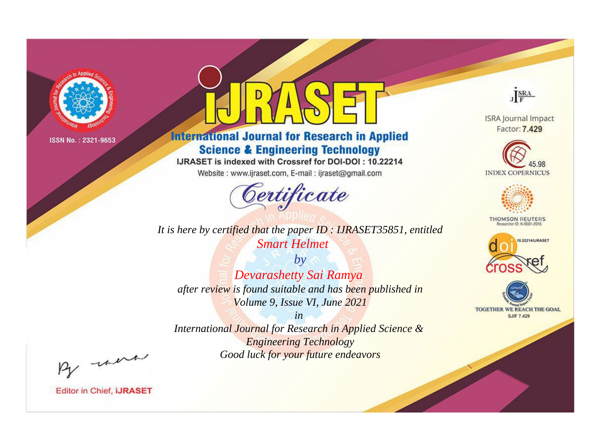

# **International Journal for Research in Applied Science & Engineering Technology**

IJRASET is indexed with Crossref for DOI-DOI: 10.22214

Website: www.ijraset.com, E-mail: ijraset@gmail.com



JERA

**ISRA Journal Impact** Factor: 7.429





**THOMSON REUTERS** 



TOGETHER WE REACH THE GOAL **SJIF 7.429** 

*It is here by certified that the paper ID : IJRASET35851, entitled Smart Helmet*

*by Devarashetty Sai Ramya after review is found suitable and has been published in Volume 9, Issue VI, June 2021*

*in* 

*International Journal for Research in Applied Science & Engineering Technology Good luck for your future endeavors*

By morn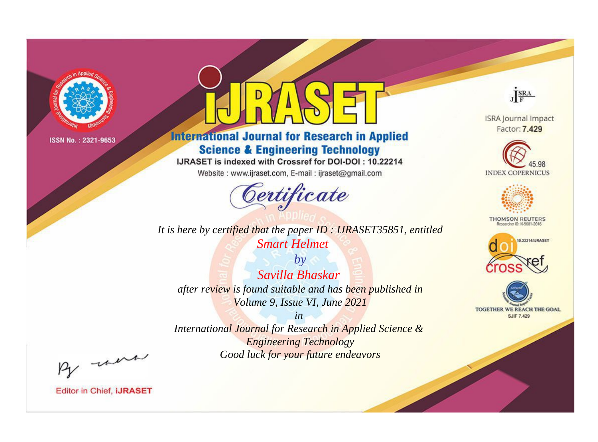

# **International Journal for Research in Applied Science & Engineering Technology**

IJRASET is indexed with Crossref for DOI-DOI: 10.22214

Website: www.ijraset.com, E-mail: ijraset@gmail.com



*It is here by certified that the paper ID : IJRASET35851, entitled Smart Helmet*

*by Savilla Bhaskar after review is found suitable and has been published in Volume 9, Issue VI, June 2021*

*in International Journal for Research in Applied Science & Engineering Technology Good luck for your future endeavors*



**ISRA Journal Impact** Factor: 7.429





**THOMSON REUTERS** 





By morn